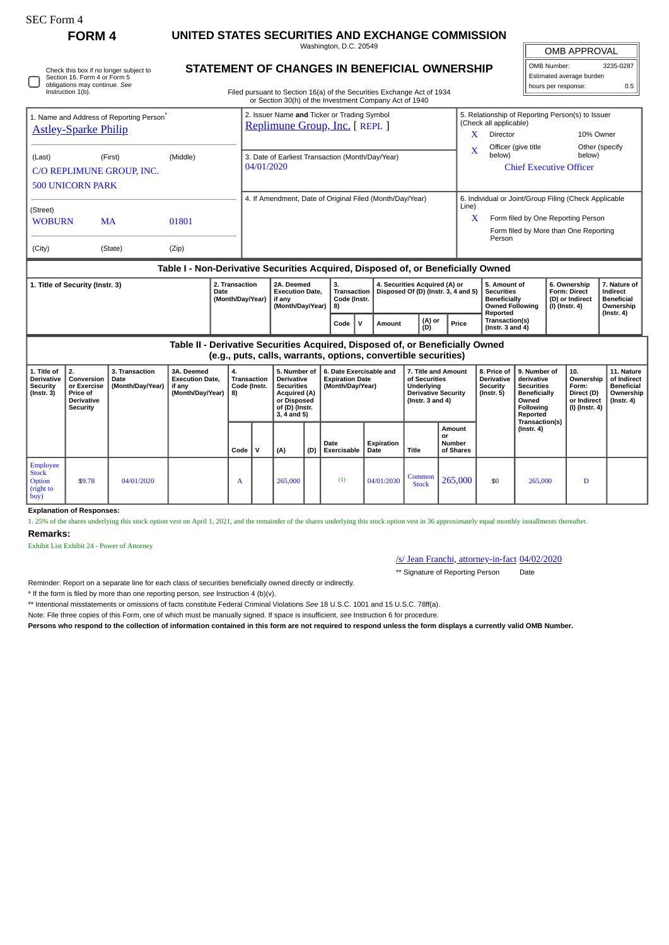| SEC Form 4 |  |
|------------|--|
|------------|--|

Employee Stock Option (right to  $buy$ 

**Remarks:**

**Explanation of Responses:**

Exhibit List Exhibit 24 - Power of Attorney

**FORM 4 UNITED STATES SECURITIES AND EXCHANGE COMMISSION** Washington, D.C. 20549

OMB APPROVAL

| OMB Number:              | 3235-0287 |  |  |  |  |  |  |  |  |  |
|--------------------------|-----------|--|--|--|--|--|--|--|--|--|
| Estimated average burden |           |  |  |  |  |  |  |  |  |  |
| hours per response:      | 0.5       |  |  |  |  |  |  |  |  |  |

| Check this box if no longer subject to<br>Section 16. Form 4 or Form 5<br>obligations may continue. See | <b>STATEMENT OF CHANGES IN BENEFICIAL OWNERSHIP</b>                    |
|---------------------------------------------------------------------------------------------------------|------------------------------------------------------------------------|
| Instruction 1(b).                                                                                       | Filed pursuant to Section 16(a) of the Securities Exchange Act of 1934 |

Filed pursuant to Section 16(a) of the Securities Exchange Act of 1934

|                                                                         |                                                                  |                                            |                                                                                        |          |                                                                | or Section 30(h) of the Investment Company Act of 1940                                                                            |      |              |                                                                                                                                                                                    |                                                                                    |  |                                                                          |                                                       |                                                                            |                                                                                              |  |                                                                          |                                                                                 |  |  |
|-------------------------------------------------------------------------|------------------------------------------------------------------|--------------------------------------------|----------------------------------------------------------------------------------------|----------|----------------------------------------------------------------|-----------------------------------------------------------------------------------------------------------------------------------|------|--------------|------------------------------------------------------------------------------------------------------------------------------------------------------------------------------------|------------------------------------------------------------------------------------|--|--------------------------------------------------------------------------|-------------------------------------------------------|----------------------------------------------------------------------------|----------------------------------------------------------------------------------------------|--|--------------------------------------------------------------------------|---------------------------------------------------------------------------------|--|--|
| 1. Name and Address of Reporting Person <sup>®</sup>                    |                                                                  |                                            |                                                                                        |          |                                                                | 2. Issuer Name and Ticker or Trading Symbol<br>Replimune Group, Inc. [ REPL ]                                                     |      |              |                                                                                                                                                                                    |                                                                                    |  |                                                                          |                                                       | 5. Relationship of Reporting Person(s) to Issuer<br>(Check all applicable) |                                                                                              |  |                                                                          |                                                                                 |  |  |
| <b>Astley-Sparke Philip</b>                                             |                                                                  |                                            |                                                                                        |          |                                                                |                                                                                                                                   |      |              |                                                                                                                                                                                    |                                                                                    |  |                                                                          | X                                                     | Director                                                                   |                                                                                              |  | 10% Owner                                                                |                                                                                 |  |  |
| (Last)                                                                  |                                                                  | (First)                                    | (Middle)                                                                               |          |                                                                |                                                                                                                                   |      |              |                                                                                                                                                                                    |                                                                                    |  |                                                                          | X                                                     | below)                                                                     | Officer (give title                                                                          |  | Other (specify<br>below)                                                 |                                                                                 |  |  |
|                                                                         |                                                                  | C/O REPLIMUNE GROUP. INC.                  |                                                                                        |          | 3. Date of Earliest Transaction (Month/Day/Year)<br>04/01/2020 |                                                                                                                                   |      |              |                                                                                                                                                                                    |                                                                                    |  |                                                                          | <b>Chief Executive Officer</b>                        |                                                                            |                                                                                              |  |                                                                          |                                                                                 |  |  |
|                                                                         | <b>500 UNICORN PARK</b>                                          |                                            |                                                                                        |          |                                                                |                                                                                                                                   |      |              |                                                                                                                                                                                    |                                                                                    |  |                                                                          |                                                       |                                                                            |                                                                                              |  |                                                                          |                                                                                 |  |  |
|                                                                         |                                                                  |                                            |                                                                                        |          |                                                                | 4. If Amendment, Date of Original Filed (Month/Day/Year)                                                                          |      |              |                                                                                                                                                                                    |                                                                                    |  |                                                                          | 6. Individual or Joint/Group Filing (Check Applicable |                                                                            |                                                                                              |  |                                                                          |                                                                                 |  |  |
| (Street)                                                                |                                                                  |                                            |                                                                                        |          |                                                                |                                                                                                                                   |      |              |                                                                                                                                                                                    |                                                                                    |  |                                                                          | Line)                                                 |                                                                            |                                                                                              |  |                                                                          |                                                                                 |  |  |
| <b>WOBURN</b>                                                           |                                                                  | <b>MA</b>                                  | 01801                                                                                  |          |                                                                |                                                                                                                                   |      |              |                                                                                                                                                                                    |                                                                                    |  |                                                                          | x                                                     |                                                                            | Form filed by One Reporting Person                                                           |  |                                                                          |                                                                                 |  |  |
|                                                                         |                                                                  |                                            |                                                                                        |          |                                                                |                                                                                                                                   |      |              |                                                                                                                                                                                    |                                                                                    |  |                                                                          |                                                       | Person                                                                     | Form filed by More than One Reporting                                                        |  |                                                                          |                                                                                 |  |  |
| (City)                                                                  |                                                                  | (State)                                    | (Zip)                                                                                  |          |                                                                |                                                                                                                                   |      |              |                                                                                                                                                                                    |                                                                                    |  |                                                                          |                                                       |                                                                            |                                                                                              |  |                                                                          |                                                                                 |  |  |
|                                                                         |                                                                  |                                            | Table I - Non-Derivative Securities Acquired, Disposed of, or Beneficially Owned       |          |                                                                |                                                                                                                                   |      |              |                                                                                                                                                                                    |                                                                                    |  |                                                                          |                                                       |                                                                            |                                                                                              |  |                                                                          |                                                                                 |  |  |
| 2. Transaction<br>1. Title of Security (Instr. 3)<br><b>Date</b>        |                                                                  |                                            | 2A. Deemed<br><b>Execution Date.</b><br>(Month/Day/Year)<br>if any<br>(Month/Day/Year) |          |                                                                | 3.<br>4. Securities Acquired (A) or<br>Disposed Of (D) (Instr. 3, 4 and 5)<br><b>Transaction</b><br>Code (Instr.<br>8)            |      |              |                                                                                                                                                                                    | 5. Amount of<br><b>Securities</b><br><b>Beneficially</b><br><b>Owned Following</b> |  | 6. Ownership<br><b>Form: Direct</b><br>(D) or Indirect<br>(I) (Instr. 4) |                                                       | 7. Nature of<br>Indirect<br><b>Beneficial</b><br>Ownership                 |                                                                                              |  |                                                                          |                                                                                 |  |  |
|                                                                         |                                                                  |                                            |                                                                                        |          |                                                                |                                                                                                                                   | Code | $\mathsf{v}$ | Amount                                                                                                                                                                             | (A) or<br>(D)                                                                      |  | Price                                                                    | Reported<br>Transaction(s)<br>(Instr. $3$ and $4$ )   |                                                                            |                                                                                              |  | $($ Instr. 4 $)$                                                         |                                                                                 |  |  |
|                                                                         |                                                                  |                                            | Table II - Derivative Securities Acquired, Disposed of, or Beneficially Owned          |          |                                                                | (e.g., puts, calls, warrants, options, convertible securities)                                                                    |      |              |                                                                                                                                                                                    |                                                                                    |  |                                                                          |                                                       |                                                                            |                                                                                              |  |                                                                          |                                                                                 |  |  |
| 1. Title of<br><b>Derivative</b><br><b>Security</b><br>$($ Instr. 3 $)$ | 2.<br>Conversion<br>or Exercise<br>Price of<br><b>Derivative</b> | 3. Transaction<br>Date<br>(Month/Day/Year) | 3A. Deemed<br><b>Execution Date,</b><br>if anv<br>(Month/Day/Year)                     | 4.<br>8) | <b>Transaction</b><br>Code (Instr.                             | 5. Number of<br><b>Derivative</b><br><b>Securities</b><br><b>Acquired (A)</b><br>or Disposed<br>of (D) (Instr.<br>$3, 4$ and $5)$ |      |              | 6. Date Exercisable and<br>7. Title and Amount<br><b>Expiration Date</b><br>of Securities<br>(Month/Day/Year)<br>Underlving<br><b>Derivative Security</b><br>(Instr. $3$ and $4$ ) |                                                                                    |  |                                                                          |                                                       | 8. Price of<br><b>Derivative</b><br>Security<br>(Instr. 5)                 | 9. Number of<br>derivative<br><b>Securities</b><br><b>Beneficially</b><br>Owned<br>Following |  | 10.<br>Ownership<br>Form:<br>Direct (D)<br>or Indirect<br>(I) (Instr. 4) | 11. Nature<br>of Indirect<br><b>Beneficial</b><br>Ownership<br>$($ Instr. 4 $)$ |  |  |
|                                                                         | Security                                                         |                                            |                                                                                        |          |                                                                |                                                                                                                                   |      |              |                                                                                                                                                                                    |                                                                                    |  |                                                                          |                                                       |                                                                            | Reported<br>Transaction(s)                                                                   |  |                                                                          |                                                                                 |  |  |

**Date Exercisable**

**Expiration Date Title**

**Amount or Number of Shares**

 $\begin{array}{|c|c|c|c|c|c|} \hline \text{Common} & 265,000 & $50 & 265,000 & D \ \hline \end{array}$ 

/s/ Jean Franchi, attorney-in-fact 04/02/2020 \*\* Signature of Reporting Person Date

Reminder: Report on a separate line for each class of securities beneficially owned directly or indirectly.

\* If the form is filed by more than one reporting person, *see* Instruction 4 (b)(v).

\*\* Intentional misstatements or omissions of facts constitute Federal Criminal Violations *See* 18 U.S.C. 1001 and 15 U.S.C. 78ff(a).

Note: File three copies of this Form, one of which must be manually signed. If space is insufficient, *see* Instruction 6 for procedure.

**Persons who respond to the collection of information contained in this form are not required to respond unless the form displays a currently valid OMB Number.**

1. 25% of the shares underlying this stock option vest on April 1, 2021, and the remainder of the shares underlying this stock option vest in 36 approximately equal monthly installments thereafter.

 $Code \mid V \mid (A) \mid (D) \mid$ 

 $\bullet$  \$9.78 04/01/2020  $\bullet$  A 265,000 (1) 04/01/2030 Common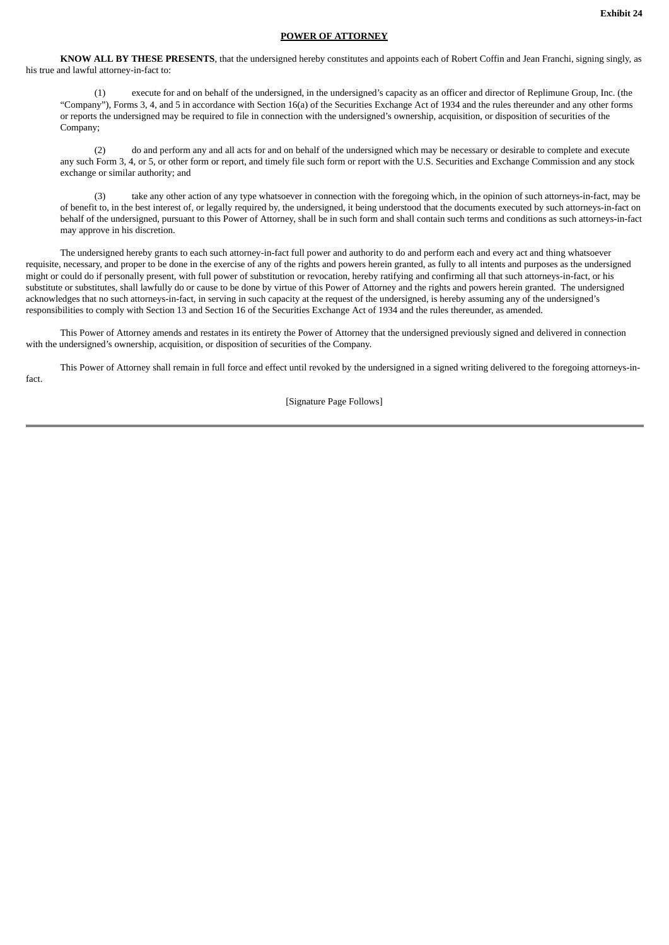## **POWER OF ATTORNEY**

**KNOW ALL BY THESE PRESENTS**, that the undersigned hereby constitutes and appoints each of Robert Coffin and Jean Franchi, signing singly, as his true and lawful attorney-in-fact to:

(1) execute for and on behalf of the undersigned, in the undersigned's capacity as an officer and director of Replimune Group, Inc. (the "Company"), Forms 3, 4, and 5 in accordance with Section 16(a) of the Securities Exchange Act of 1934 and the rules thereunder and any other forms or reports the undersigned may be required to file in connection with the undersigned's ownership, acquisition, or disposition of securities of the Company;

(2) do and perform any and all acts for and on behalf of the undersigned which may be necessary or desirable to complete and execute any such Form 3, 4, or 5, or other form or report, and timely file such form or report with the U.S. Securities and Exchange Commission and any stock exchange or similar authority; and

(3) take any other action of any type whatsoever in connection with the foregoing which, in the opinion of such attorneys-in-fact, may be of benefit to, in the best interest of, or legally required by, the undersigned, it being understood that the documents executed by such attorneys-in-fact on behalf of the undersigned, pursuant to this Power of Attorney, shall be in such form and shall contain such terms and conditions as such attorneys-in-fact may approve in his discretion.

The undersigned hereby grants to each such attorney-in-fact full power and authority to do and perform each and every act and thing whatsoever requisite, necessary, and proper to be done in the exercise of any of the rights and powers herein granted, as fully to all intents and purposes as the undersigned might or could do if personally present, with full power of substitution or revocation, hereby ratifying and confirming all that such attorneys-in-fact, or his substitute or substitutes, shall lawfully do or cause to be done by virtue of this Power of Attorney and the rights and powers herein granted. The undersigned acknowledges that no such attorneys-in-fact, in serving in such capacity at the request of the undersigned, is hereby assuming any of the undersigned's responsibilities to comply with Section 13 and Section 16 of the Securities Exchange Act of 1934 and the rules thereunder, as amended.

This Power of Attorney amends and restates in its entirety the Power of Attorney that the undersigned previously signed and delivered in connection with the undersigned's ownership, acquisition, or disposition of securities of the Company.

This Power of Attorney shall remain in full force and effect until revoked by the undersigned in a signed writing delivered to the foregoing attorneys-infact.

[Signature Page Follows]